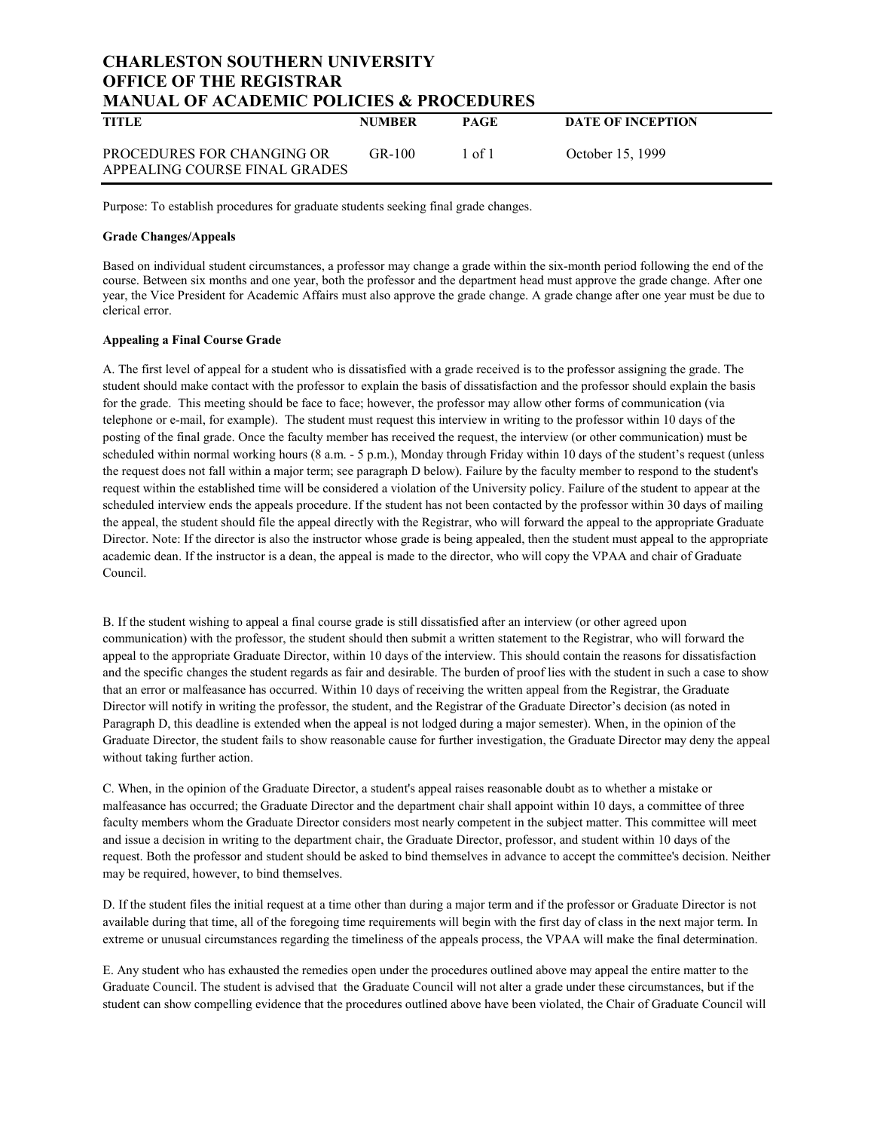| <b>CHARLESTON SOUTHERN UNIVERSITY</b><br><b>OFFICE OF THE REGISTRAR</b><br><b>MANUAL OF ACADEMIC POLICIES &amp; PROCEDURES</b> |               |            |                          |  |
|--------------------------------------------------------------------------------------------------------------------------------|---------------|------------|--------------------------|--|
| <b>TITLE</b>                                                                                                                   | <b>NUMBER</b> | PAGE       | <b>DATE OF INCEPTION</b> |  |
| PROCEDURES FOR CHANGING OR<br>APPEALING COURSE FINAL GRADES                                                                    | $GR-100$      | $1$ of $1$ | October 15, 1999         |  |

Purpose: To establish procedures for graduate students seeking final grade changes.

## **Grade Changes/Appeals**

Based on individual student circumstances, a professor may change a grade within the six-month period following the end of the course. Between six months and one year, both the professor and the department head must approve the grade change. After one year, the Vice President for Academic Affairs must also approve the grade change. A grade change after one year must be due to clerical error.

## **Appealing a Final Course Grade**

A. The first level of appeal for a student who is dissatisfied with a grade received is to the professor assigning the grade. The student should make contact with the professor to explain the basis of dissatisfaction and the professor should explain the basis for the grade. This meeting should be face to face; however, the professor may allow other forms of communication (via telephone or e-mail, for example). The student must request this interview in writing to the professor within 10 days of the posting of the final grade. Once the faculty member has received the request, the interview (or other communication) must be scheduled within normal working hours (8 a.m. - 5 p.m.), Monday through Friday within 10 days of the student's request (unless the request does not fall within a major term; see paragraph D below). Failure by the faculty member to respond to the student's request within the established time will be considered a violation of the University policy. Failure of the student to appear at the scheduled interview ends the appeals procedure. If the student has not been contacted by the professor within 30 days of mailing the appeal, the student should file the appeal directly with the Registrar, who will forward the appeal to the appropriate Graduate Director. Note: If the director is also the instructor whose grade is being appealed, then the student must appeal to the appropriate academic dean. If the instructor is a dean, the appeal is made to the director, who will copy the VPAA and chair of Graduate Council.

B. If the student wishing to appeal a final course grade is still dissatisfied after an interview (or other agreed upon communication) with the professor, the student should then submit a written statement to the Registrar, who will forward the appeal to the appropriate Graduate Director, within 10 days of the interview. This should contain the reasons for dissatisfaction and the specific changes the student regards as fair and desirable. The burden of proof lies with the student in such a case to show that an error or malfeasance has occurred. Within 10 days of receiving the written appeal from the Registrar, the Graduate Director will notify in writing the professor, the student, and the Registrar of the Graduate Director's decision (as noted in Paragraph D, this deadline is extended when the appeal is not lodged during a major semester). When, in the opinion of the Graduate Director, the student fails to show reasonable cause for further investigation, the Graduate Director may deny the appeal without taking further action.

C. When, in the opinion of the Graduate Director, a student's appeal raises reasonable doubt as to whether a mistake or malfeasance has occurred; the Graduate Director and the department chair shall appoint within 10 days, a committee of three faculty members whom the Graduate Director considers most nearly competent in the subject matter. This committee will meet and issue a decision in writing to the department chair, the Graduate Director, professor, and student within 10 days of the request. Both the professor and student should be asked to bind themselves in advance to accept the committee's decision. Neither may be required, however, to bind themselves.

D. If the student files the initial request at a time other than during a major term and if the professor or Graduate Director is not available during that time, all of the foregoing time requirements will begin with the first day of class in the next major term. In extreme or unusual circumstances regarding the timeliness of the appeals process, the VPAA will make the final determination.

E. Any student who has exhausted the remedies open under the procedures outlined above may appeal the entire matter to the Graduate Council. The student is advised that the Graduate Council will not alter a grade under these circumstances, but if the student can show compelling evidence that the procedures outlined above have been violated, the Chair of Graduate Council will